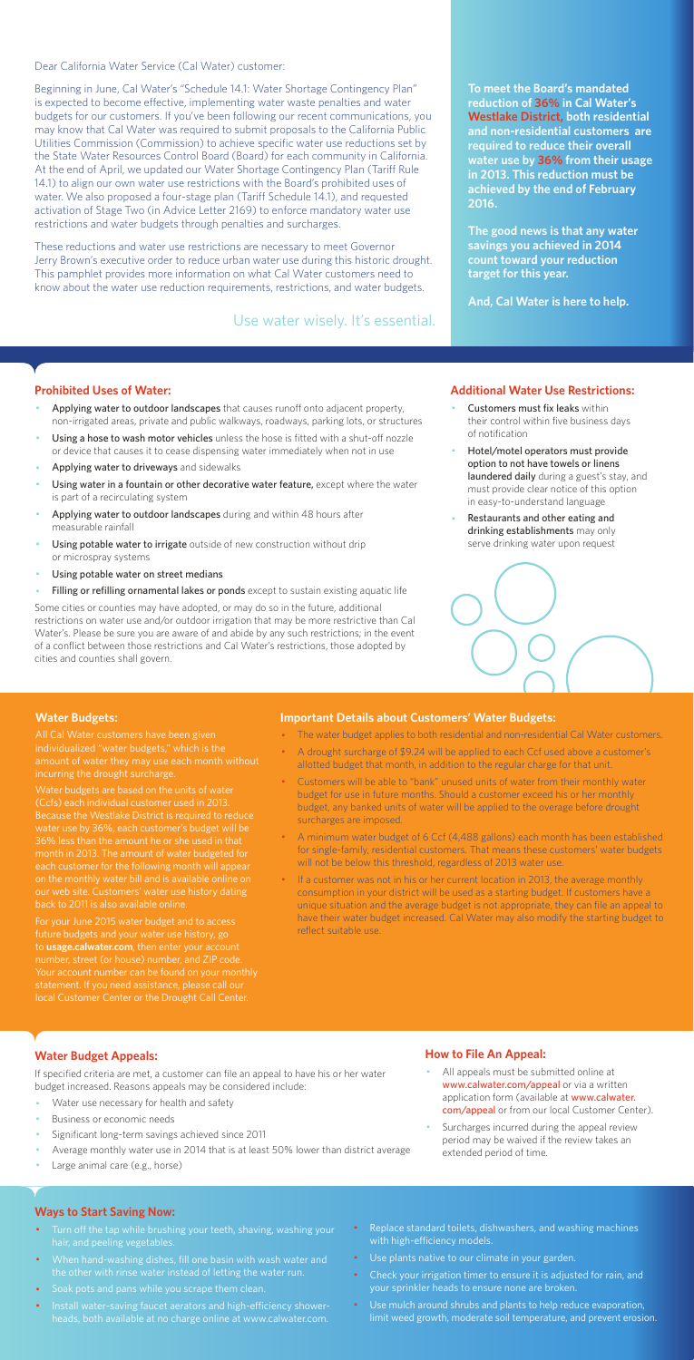Dear California Water Service (Cal Water) customer:

Beginning in June, Cal Water's "Schedule 14.1: Water Shortage Contingency Plan" is expected to become effective, implementing water waste penalties and water budgets for our customers. If you've been following our recent communications, you may know that Cal Water was required to submit proposals to the California Public Utilities Commission (Commission) to achieve specific water use reductions set by the State Water Resources Control Board (Board) for each community in California. At the end of April, we updated our Water Shortage Contingency Plan (Tariff Rule 14.1) to align our own water use restrictions with the Board's prohibited uses of water. We also proposed a four-stage plan (Tariff Schedule 14.1), and requested activation of Stage Two (in Advice Letter 2169) to enforce mandatory water use restrictions and water budgets through penalties and surcharges.

These reductions and water use restrictions are necessary to meet Governor Jerry Brown's executive order to reduce urban water use during this historic drought. This pamphlet provides more information on what Cal Water customers need to know about the water use reduction requirements, restrictions, and water budgets.

#### **Prohibited Uses of Water:**

- Applying water to outdoor landscapes that causes runoff onto adjacent property, non-irrigated areas, private and public walkways, roadways, parking lots, or structures
- Using a hose to wash motor vehicles unless the hose is fitted with a shut-off nozzle or device that causes it to cease dispensing water immediately when not in use
- Applying water to driveways and sidewalks
- Using water in a fountain or other decorative water feature, except where the water is part of a recirculating system
- Applying water to outdoor landscapes during and within 48 hours after measurable rainfall
- Using potable water to irrigate outside of new construction without drip or microspray systems
- Using potable water on street medians
- Filling or refilling ornamental lakes or ponds except to sustain existing aquatic life
- Customers must fix leaks within their control within five business days of notification
- Hotel/motel operators must provide option to not have towels or linens laundered daily during a guest's stay, and must provide clear notice of this option in easy-to-understand language
- Restaurants and other eating and drinking establishments may only serve drinking water upon request



- All appeals must be submitted online at www.calwater.com/appeal or via a written application form (available at www.calwater. com/appeal or from our local Customer Center).
- · Surcharges incurred during the appeal review period may be waived if the review takes an extended period of time.

Some cities or counties may have adopted, or may do so in the future, additional restrictions on water use and/or outdoor irrigation that may be more restrictive than Cal Water's. Please be sure you are aware of and abide by any such restrictions; in the event of a conflict between those restrictions and Cal Water's restrictions, those adopted by cities and counties shall govern.

- Turn off the tap while brushing your teeth, shaving, washing your hair, and peeling vegetables.
- · When hand-washing dishes, fill one basin with wash water and the other with rinse water instead of letting the water run.
- · Soak pots and pans while you scrape them clean.
- · Install water-saving faucet aerators and high-efficiency showerheads, both available at no charge online at www.calwater.com.
- Replace standard toilets, dishwashers, and washing machines with high-efficiency models.
- · Use plants native to our climate in your garden.
- Check your irrigation timer to ensure it is adjusted for rain, and your sprinkler heads to ensure none are broken.
- · Use mulch around shrubs and plants to help reduce evaporation, limit weed growth, moderate soil temperature, and prevent erosion.

**To meet the Board's mandated reduction of 36% in Cal Water's Westlake District, both residential and non-residential customers are required to reduce their overall water use by 36% from their usage in 2013. This reduction must be achieved by the end of February 2016.** 

**The good news is that any water savings you achieved in 2014 count toward your reduction target for this year.** 

**And, Cal Water is here to help.** 

#### **Additional Water Use Restrictions:**

## **Water Budget Appeals:**

If specified criteria are met, a customer can file an appeal to have his or her water budget increased. Reasons appeals may be considered include:

- Water use necessary for health and safety
- Business or economic needs
- Significant long-term savings achieved since 2011
- Average monthly water use in 2014 that is at least 50% lower than district average
- Large animal care (e.g., horse)

If a customer was not in his or her current location in 2013, the average monthly consumption in your district will be used as a starting budget. If customers have a unique situation and the average budget is not appropriate, they can file an appeal to have their water budget increased. Cal Water may also modify the starting budget to reflect suitable use.

## **How to File An Appeal:**

#### **Ways to Start Saving Now:**

Use water wisely. It's essential.

#### **Water Budgets:**

individualized "water budgets," which is the incurring the drought surcharge.

Water budgets are based on the units of water (Ccfs) each individual customer used in 2013. water use by 36%, each customer's budget will be month in 2013. The amount of water budgeted for each customer for the following month will appea on the monthly water bill and is available online on

For your June 2015 water budget and to access future budgets and your water use history, go to **usage.calwater.com**, then enter your account number, street (or house) number, and ZIP code. local Customer Center or the Drought Call Center.

#### **Important Details about Customers' Water Budgets:**

- · The water budget applies to both residential and non-residential Cal Water customers.
- A drought surcharge of \$9.24 will be applied to each Ccf used above a customer's allotted budget that month, in addition to the regular charge for that unit.
- · Customers will be able to "bank" unused units of water from their monthly water budget for use in future months. Should a customer exceed his or her monthly budget, any banked units of water will be applied to the overage before drought surcharges are imposed.
- · A minimum water budget of 6 Ccf (4,488 gallons) each month has been established for single-family, residential customers. That means these customers' water budgets will not be below this threshold, regardless of 2013 water use.